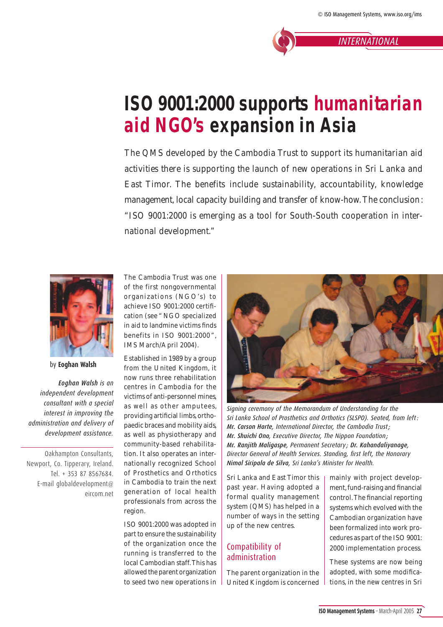*INTERNATIONAL*

# **ISO 9001:2000 supports humanitarian aid NGO's expansion in Asia**

*The QMS developed by the Cambodia Trust to support its humanitarian aid activities there is supporting the launch of new operations in Sri Lanka and East Timor. The benefits include sustainability, accountability, knowledge management, local capacity building and transfer of know-how. The conclusion: "ISO 9001:2000 is emerging as a tool for South-South cooperation in international development."* 



by **Eoghan Walsh**

*Eoghan Walsh is an independent development consultant with a special interest in improving the administration and delivery of development assistance.*

Oakhampton Consultants, Newport, Co. Tipperary, Ireland. Tel. + 353 87 8567684. E-mail globaldevelopment@ eircom.net The Cambodia Trust was one of the first nongovernmental organizations (NGO's) to achieve ISO 9001:2000 certifi cation (see " NGO specialized in aid to landmine victims finds benefits in ISO 9001:2000 ", *IMS* March/April 2004).

Established in 1989 by a group from the United Kingdom, it now runs three rehabilitation centres in Cambodia for the victims of anti-personnel mines, as well as other amputees, providing artificial limbs, orthopaedic braces and mobility aids, as well as physiotherapy and community-based rehabilitation. It also operates an internationally recognized School of Prosthetics and Orthotics in Cambodia to train the next generation of local health professionals from across the region.

ISO 9001:2000 was adopted in part to ensure the sustainability of the organization once the running is transferred to the local Cambodian staff. This has allowed the parent organization to seed two new operations in



*Signing ceremony of the Memorandum of Understanding for the Sri Lanka School of Prosthetics and Orthotics (SLSPO). Seated, from left : Mr. Carson Harte, International Director, the Cambodia Trust ; Mr. Shuichi Ono, Executive Director, The Nippon Foundation ; Mr. Ranjith Maligaspe, Permanent Secretary ; Dr. Kahandaliyanage,*  **Director General of Health Services. Standing, first left, the Honorary** *Nimal Siripala de Silva, Sri Lanka's Minister for Health.*

Sri Lanka and East Timor this past year. Having adopted a formal quality management system (QMS) has helped in a number of ways in the setting up of the new centres.

### Compatibility of administration

The parent organization in the United Kingdom is concerned mainly with project development, fund-raising and financial control. The financial reporting systems which evolved with the Cambodian organization have been formalized into work procedures as part of the ISO 9001: 2000 implementation process.

These systems are now being adopted, with some modifications, in the new centres in Sri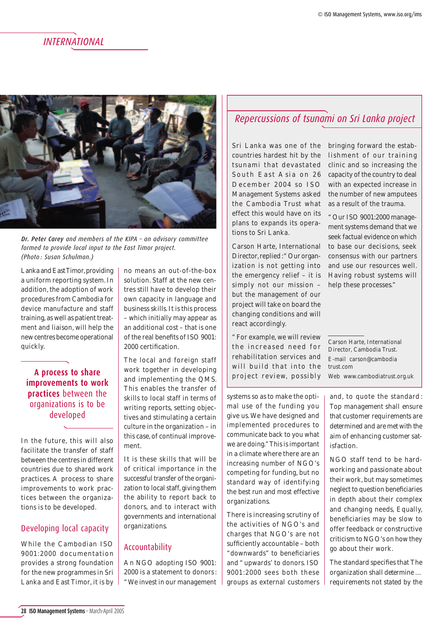### *INTERNATIONAL*



*Dr. Peter Carey and members of the KIPA – an advisory committee formed to provide local input to the East Timor project. (Photo : Susan Schulman.)*

Lanka and East Timor, providing a uniform reporting system. In addition, the adoption of work procedures from Cambodia for device manufacture and staff training, as well as patient treatment and liaison, will help the new centres become operational quickly.

### **A process to share improvements to work practices** between the organizations is to be developed

In the future, this will also facilitate the transfer of staff between the centres in different countries due to shared work practices. A process to share improvements to work practices between the organizations is to be developed.

### Developing local capacity

While the Cambodian ISO 9001:2000 documentation provides a strong foundation for the new programmes in Sri Lanka and East Timor, it is by no means an out-of-the-box solution. Staff at the new centres still have to develop their own capacity in language and business skills. It is this process – which initially may appear as an additional cost – that is one of the real benefits of ISO 9001: 2000 certification.

The local and foreign staff work together in developing and implementing the QMS. This enables the transfer of skills to local staff in terms of writing reports, setting objectives and stimulating a certain culture in the organization – in this case, of continual improvement.

It is these skills that will be of critical importance in the successful transfer of the organization to local staff, giving them the ability to report back to donors, and to interact with governments and international organizations.

### Accountability

An NGO adopting ISO 9001: 2000 is a statement to donors : " We invest in our management

### *Repercussions of tsunami on Sri Lanka project*

Sri Lanka was one of the countries hardest hit by the tsunami that devastated South East Asia on 26 December 2004 so *ISO Management Systems* asked the Cambodia Trust what effect this would have on its plans to expands its operations to Sri Lanka.

Carson Harte, International Director, replied : " Our organization is not getting into the emergency relief – it is simply not our mission – but the management of our project will take on board the changing conditions and will react accordingly.

" For example, we will review the increased need for rehabilitation services and will build that into the project review, possibly

systems so as to make the optimal use of the funding you give us. We have designed and implemented procedures to communicate back to you what we are doing." This is important in a climate where there are an increasing number of NGO's competing for funding, but no standard way of identifying the best run and most effective organizations.

There is increasing scrutiny of the activities of NGO's and charges that NGO's are not sufficiently accountable - both "downwards" to beneficiaries and " upwards' to donors. ISO 9001:2000 sees both these groups as external customers bringing forward the establishment of our training clinic and so increasing the capacity of the country to deal with an expected increase in the number of new amputees as a result of the trauma.

" Our ISO 9001:2000 management systems demand that we seek factual evidence on which to base our decisions, seek consensus with our partners and use our resources well. Having robust systems will help these processes."

Carson Harte, International Director, Cambodia Trust. E-mail carson@cambodia trust.com Web www.cambodiatrust.org.uk

and, to quote the standard : *Top management shall ensure that customer requirements are determined and are met with the aim of enhancing customer satisfaction*.

NGO staff tend to be hardworking and passionate about their work, but may sometimes neglect to question beneficiaries in depth about their complex and changing needs, Equally, beneficiaries may be slow to offer feedback or constructive criticism to NGO's on how they go about their work.

The standard specifies that *The organization shall determine … requirements not stated by the*